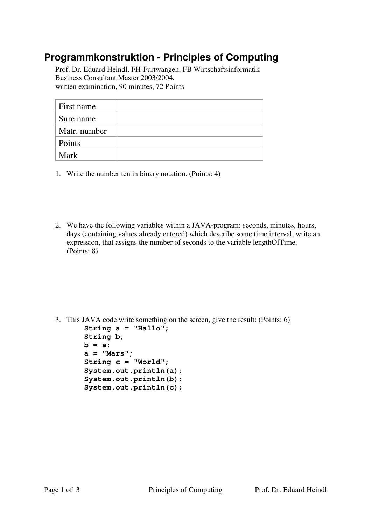## **Programmkonstruktion - Principles of Computing**

Prof. Dr. Eduard Heindl, FH-Furtwangen, FB Wirtschaftsinformatik Business Consultant Master 2003/2004, written examination, 90 minutes, 72 Points

| First name   |  |
|--------------|--|
| Sure name    |  |
| Matr. number |  |
| Points       |  |
| Mark         |  |

- 1. Write the number ten in binary notation. (Points: 4)
- 2. We have the following variables within a JAVA-program: seconds, minutes, hours, days (containing values already entered) which describe some time interval, write an expression, that assigns the number of seconds to the variable lengthOfTime. (Points: 8)

3. This JAVA code write something on the screen, give the result: (Points: 6)

| String $a = "Hallo";$  |
|------------------------|
| String b;              |
| $b = a;$               |
| $a = "Mars";$          |
| String $c = "World";$  |
| System.out.println(a); |
| System.out.println(b); |
| System.out.println(c); |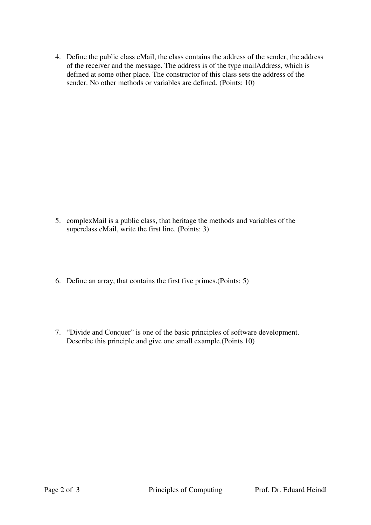4. Define the public class eMail, the class contains the address of the sender, the address of the receiver and the message. The address is of the type mailAddress, which is defined at some other place. The constructor of this class sets the address of the sender. No other methods or variables are defined. (Points: 10)

- 5. complexMail is a public class, that heritage the methods and variables of the superclass eMail, write the first line. (Points: 3)
- 6. Define an array, that contains the first five primes.(Points: 5)
- 7. "Divide and Conquer" is one of the basic principles of software development. Describe this principle and give one small example.(Points 10)